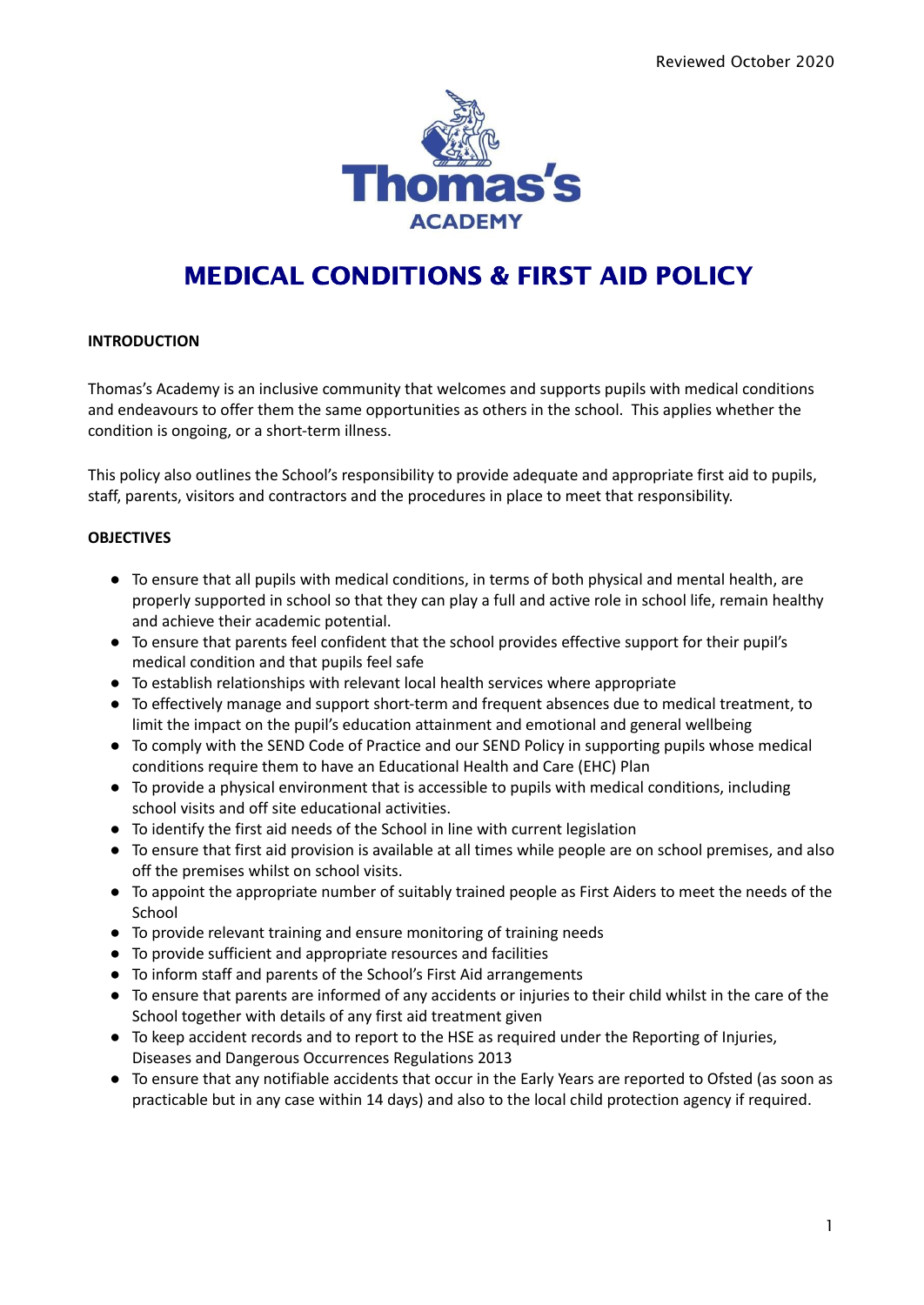

## MEDICAL CONDITIONS & FIRST AID POLICY

#### **INTRODUCTION**

Thomas's Academy is an inclusive community that welcomes and supports pupils with medical conditions and endeavours to offer them the same opportunities as others in the school. This applies whether the condition is ongoing, or a short-term illness.

This policy also outlines the School's responsibility to provide adequate and appropriate first aid to pupils, staff, parents, visitors and contractors and the procedures in place to meet that responsibility.

#### **OBJECTIVES**

- To ensure that all pupils with medical conditions, in terms of both physical and mental health, are properly supported in school so that they can play a full and active role in school life, remain healthy and achieve their academic potential.
- To ensure that parents feel confident that the school provides effective support for their pupil's medical condition and that pupils feel safe
- To establish relationships with relevant local health services where appropriate
- To effectively manage and support short-term and frequent absences due to medical treatment, to limit the impact on the pupil's education attainment and emotional and general wellbeing
- To comply with the SEND Code of Practice and our SEND Policy in supporting pupils whose medical conditions require them to have an Educational Health and Care (EHC) Plan
- To provide a physical environment that is accessible to pupils with medical conditions, including school visits and off site educational activities.
- To identify the first aid needs of the School in line with current legislation
- To ensure that first aid provision is available at all times while people are on school premises, and also off the premises whilst on school visits.
- To appoint the appropriate number of suitably trained people as First Aiders to meet the needs of the School
- To provide relevant training and ensure monitoring of training needs
- To provide sufficient and appropriate resources and facilities
- To inform staff and parents of the School's First Aid arrangements
- To ensure that parents are informed of any accidents or injuries to their child whilst in the care of the School together with details of any first aid treatment given
- To keep accident records and to report to the HSE as required under the Reporting of Injuries, Diseases and Dangerous Occurrences Regulations 2013
- To ensure that any notifiable accidents that occur in the Early Years are reported to Ofsted (as soon as practicable but in any case within 14 days) and also to the local child protection agency if required.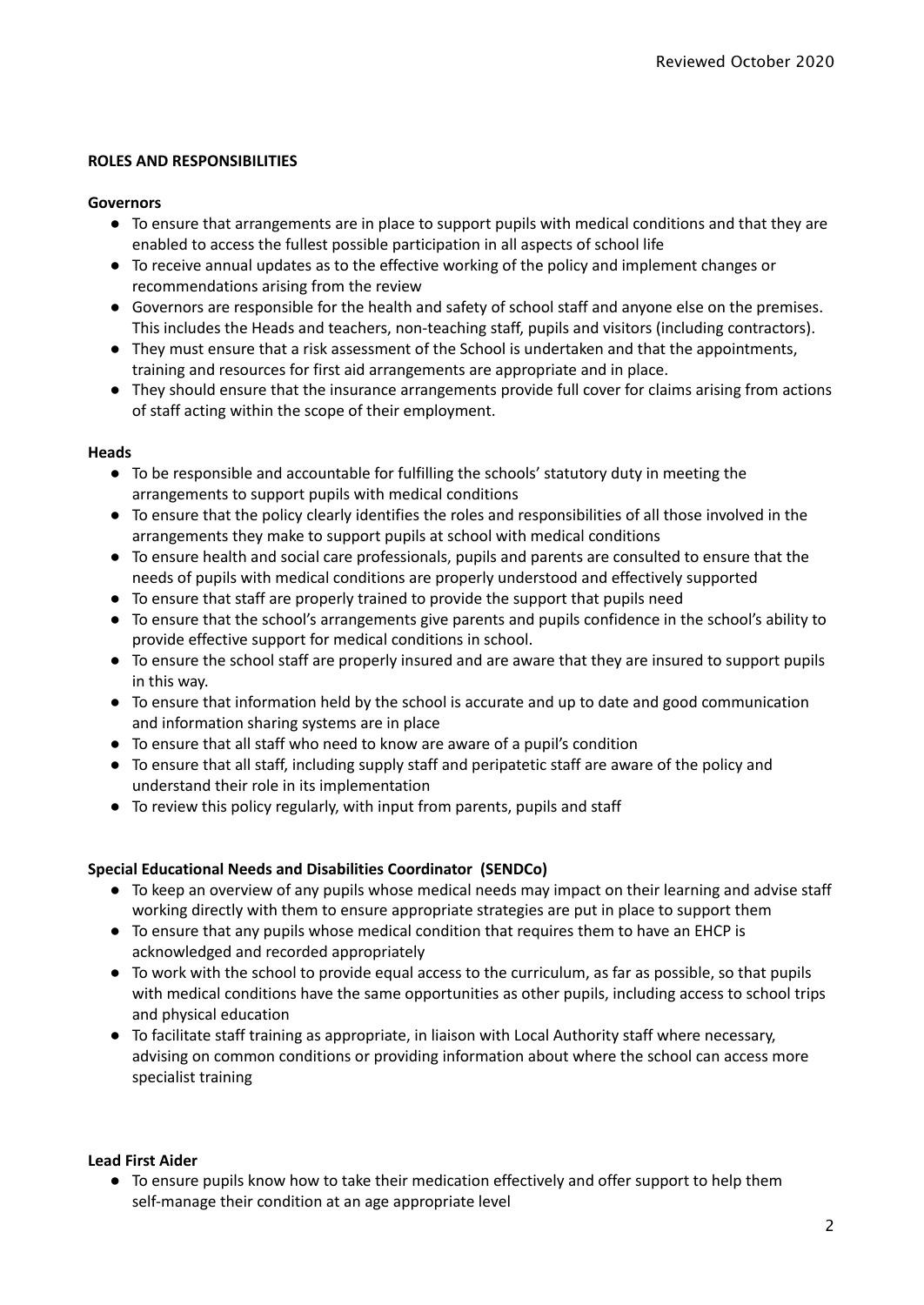#### **ROLES AND RESPONSIBILITIES**

#### **Governors**

- To ensure that arrangements are in place to support pupils with medical conditions and that they are enabled to access the fullest possible participation in all aspects of school life
- To receive annual updates as to the effective working of the policy and implement changes or recommendations arising from the review
- Governors are responsible for the health and safety of school staff and anyone else on the premises. This includes the Heads and teachers, non-teaching staff, pupils and visitors (including contractors).
- They must ensure that a risk assessment of the School is undertaken and that the appointments, training and resources for first aid arrangements are appropriate and in place.
- They should ensure that the insurance arrangements provide full cover for claims arising from actions of staff acting within the scope of their employment.

#### **Heads**

- To be responsible and accountable for fulfilling the schools' statutory duty in meeting the arrangements to support pupils with medical conditions
- To ensure that the policy clearly identifies the roles and responsibilities of all those involved in the arrangements they make to support pupils at school with medical conditions
- To ensure health and social care professionals, pupils and parents are consulted to ensure that the needs of pupils with medical conditions are properly understood and effectively supported
- To ensure that staff are properly trained to provide the support that pupils need
- To ensure that the school's arrangements give parents and pupils confidence in the school's ability to provide effective support for medical conditions in school.
- To ensure the school staff are properly insured and are aware that they are insured to support pupils in this way.
- To ensure that information held by the school is accurate and up to date and good communication and information sharing systems are in place
- To ensure that all staff who need to know are aware of a pupil's condition
- To ensure that all staff, including supply staff and peripatetic staff are aware of the policy and understand their role in its implementation
- To review this policy regularly, with input from parents, pupils and staff

#### **Special Educational Needs and Disabilities Coordinator (SENDCo)**

- To keep an overview of any pupils whose medical needs may impact on their learning and advise staff working directly with them to ensure appropriate strategies are put in place to support them
- To ensure that any pupils whose medical condition that requires them to have an EHCP is acknowledged and recorded appropriately
- To work with the school to provide equal access to the curriculum, as far as possible, so that pupils with medical conditions have the same opportunities as other pupils, including access to school trips and physical education
- To facilitate staff training as appropriate, in liaison with Local Authority staff where necessary, advising on common conditions or providing information about where the school can access more specialist training

#### **Lead First Aider**

● To ensure pupils know how to take their medication effectively and offer support to help them self-manage their condition at an age appropriate level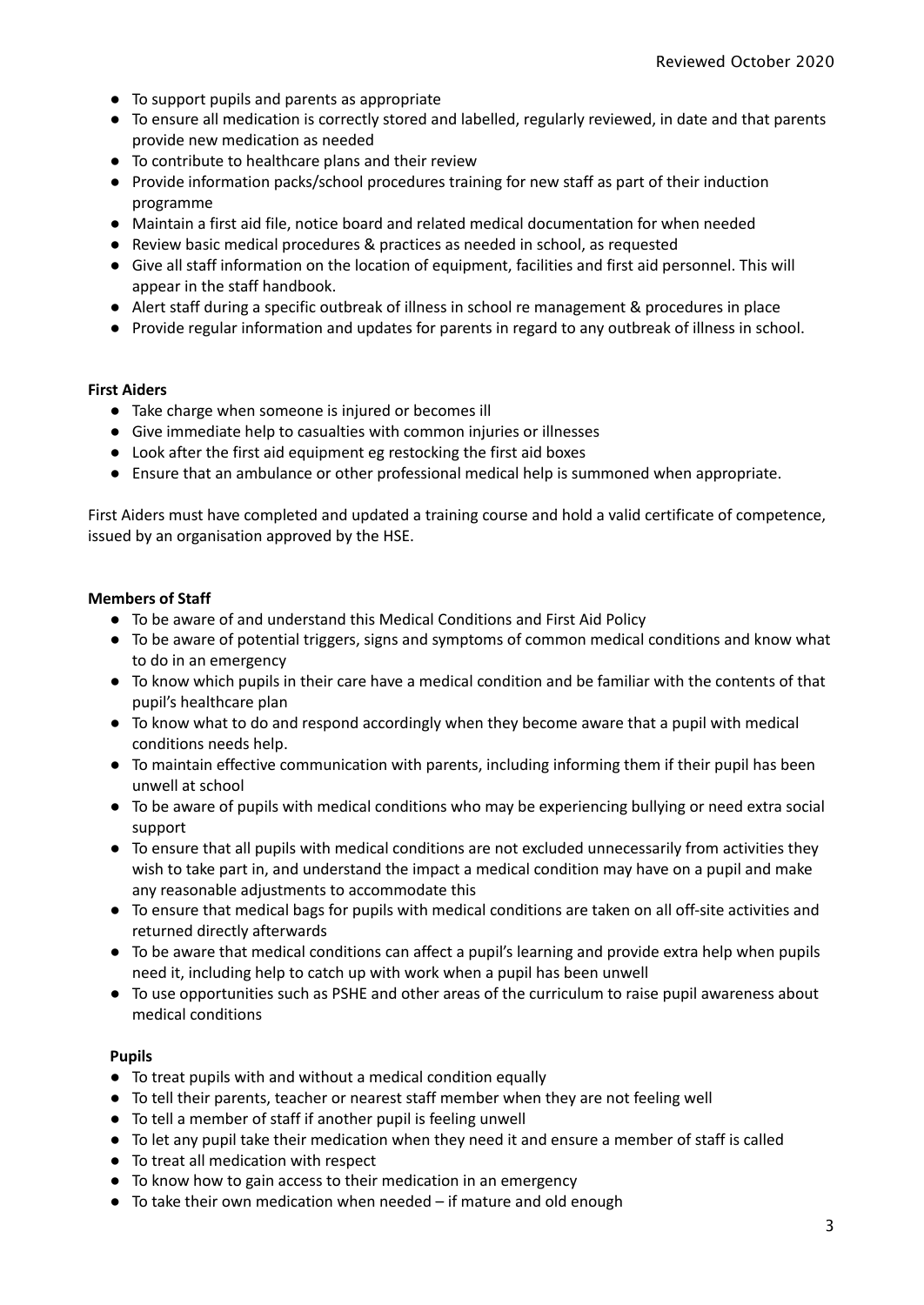- To support pupils and parents as appropriate
- To ensure all medication is correctly stored and labelled, regularly reviewed, in date and that parents provide new medication as needed
- To contribute to healthcare plans and their review
- Provide information packs/school procedures training for new staff as part of their induction programme
- Maintain a first aid file, notice board and related medical documentation for when needed
- Review basic medical procedures & practices as needed in school, as requested
- Give all staff information on the location of equipment, facilities and first aid personnel. This will appear in the staff handbook.
- Alert staff during a specific outbreak of illness in school re management & procedures in place
- Provide regular information and updates for parents in regard to any outbreak of illness in school.

#### **First Aiders**

- Take charge when someone is injured or becomes ill
- Give immediate help to casualties with common injuries or illnesses
- Look after the first aid equipment eg restocking the first aid boxes
- Ensure that an ambulance or other professional medical help is summoned when appropriate.

First Aiders must have completed and updated a training course and hold a valid certificate of competence, issued by an organisation approved by the HSE.

#### **Members of Staff**

- To be aware of and understand this Medical Conditions and First Aid Policy
- To be aware of potential triggers, signs and symptoms of common medical conditions and know what to do in an emergency
- To know which pupils in their care have a medical condition and be familiar with the contents of that pupil's healthcare plan
- To know what to do and respond accordingly when they become aware that a pupil with medical conditions needs help.
- To maintain effective communication with parents, including informing them if their pupil has been unwell at school
- To be aware of pupils with medical conditions who may be experiencing bullying or need extra social support
- To ensure that all pupils with medical conditions are not excluded unnecessarily from activities they wish to take part in, and understand the impact a medical condition may have on a pupil and make any reasonable adjustments to accommodate this
- To ensure that medical bags for pupils with medical conditions are taken on all off-site activities and returned directly afterwards
- To be aware that medical conditions can affect a pupil's learning and provide extra help when pupils need it, including help to catch up with work when a pupil has been unwell
- To use opportunities such as PSHE and other areas of the curriculum to raise pupil awareness about medical conditions

#### **Pupils**

- To treat pupils with and without a medical condition equally
- To tell their parents, teacher or nearest staff member when they are not feeling well
- To tell a member of staff if another pupil is feeling unwell
- To let any pupil take their medication when they need it and ensure a member of staff is called
- To treat all medication with respect
- To know how to gain access to their medication in an emergency
- To take their own medication when needed if mature and old enough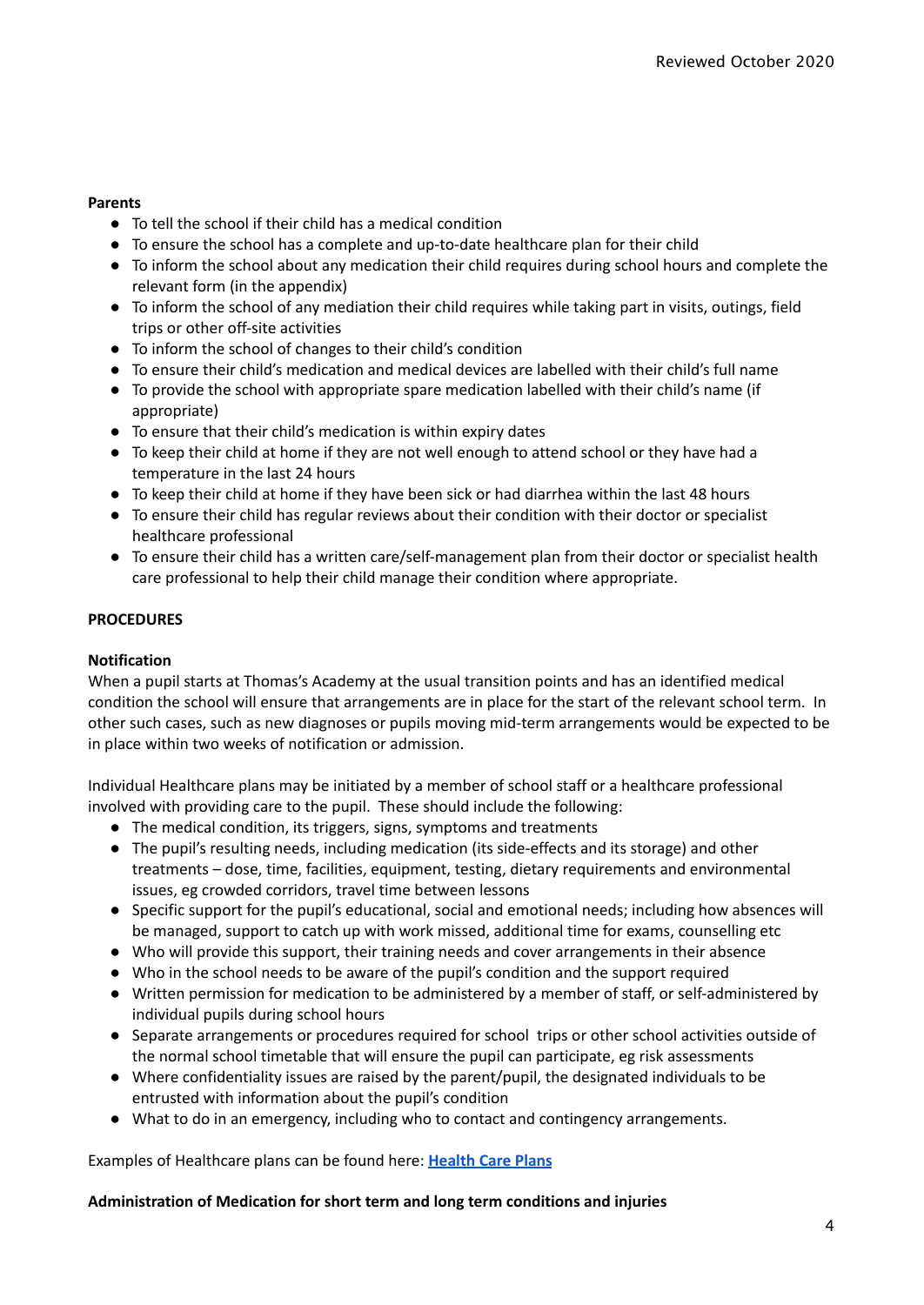#### **Parents**

- To tell the school if their child has a medical condition
- To ensure the school has a complete and up-to-date healthcare plan for their child
- To inform the school about any medication their child requires during school hours and complete the relevant form (in the appendix)
- To inform the school of any mediation their child requires while taking part in visits, outings, field trips or other off-site activities
- To inform the school of changes to their child's condition
- To ensure their child's medication and medical devices are labelled with their child's full name
- To provide the school with appropriate spare medication labelled with their child's name (if appropriate)
- To ensure that their child's medication is within expiry dates
- To keep their child at home if they are not well enough to attend school or they have had a temperature in the last 24 hours
- To keep their child at home if they have been sick or had diarrhea within the last 48 hours
- To ensure their child has regular reviews about their condition with their doctor or specialist healthcare professional
- To ensure their child has a written care/self-management plan from their doctor or specialist health care professional to help their child manage their condition where appropriate.

#### **PROCEDURES**

#### **Notification**

When a pupil starts at Thomas's Academy at the usual transition points and has an identified medical condition the school will ensure that arrangements are in place for the start of the relevant school term. In other such cases, such as new diagnoses or pupils moving mid-term arrangements would be expected to be in place within two weeks of notification or admission.

Individual Healthcare plans may be initiated by a member of school staff or a healthcare professional involved with providing care to the pupil. These should include the following:

- The medical condition, its triggers, signs, symptoms and treatments
- The pupil's resulting needs, including medication (its side-effects and its storage) and other treatments – dose, time, facilities, equipment, testing, dietary requirements and environmental issues, eg crowded corridors, travel time between lessons
- Specific support for the pupil's educational, social and emotional needs; including how absences will be managed, support to catch up with work missed, additional time for exams, counselling etc
- Who will provide this support, their training needs and cover arrangements in their absence
- Who in the school needs to be aware of the pupil's condition and the support required
- Written permission for medication to be administered by a member of staff, or self-administered by individual pupils during school hours
- Separate arrangements or procedures required for school trips or other school activities outside of the normal school timetable that will ensure the pupil can participate, eg risk assessments
- Where confidentiality issues are raised by the parent/pupil, the designated individuals to be entrusted with information about the pupil's condition
- What to do in an emergency, including who to contact and contingency arrangements.

Examples of Healthcare plans can be found here: **[Health](https://docs.google.com/document/u/0/d/1UlPc2ChPkLl4wCIDkBKaIovlZoEiYLm30oHD3Go8E7A/edit) Care Plans**

#### **Administration of Medication for short term and long term conditions and injuries**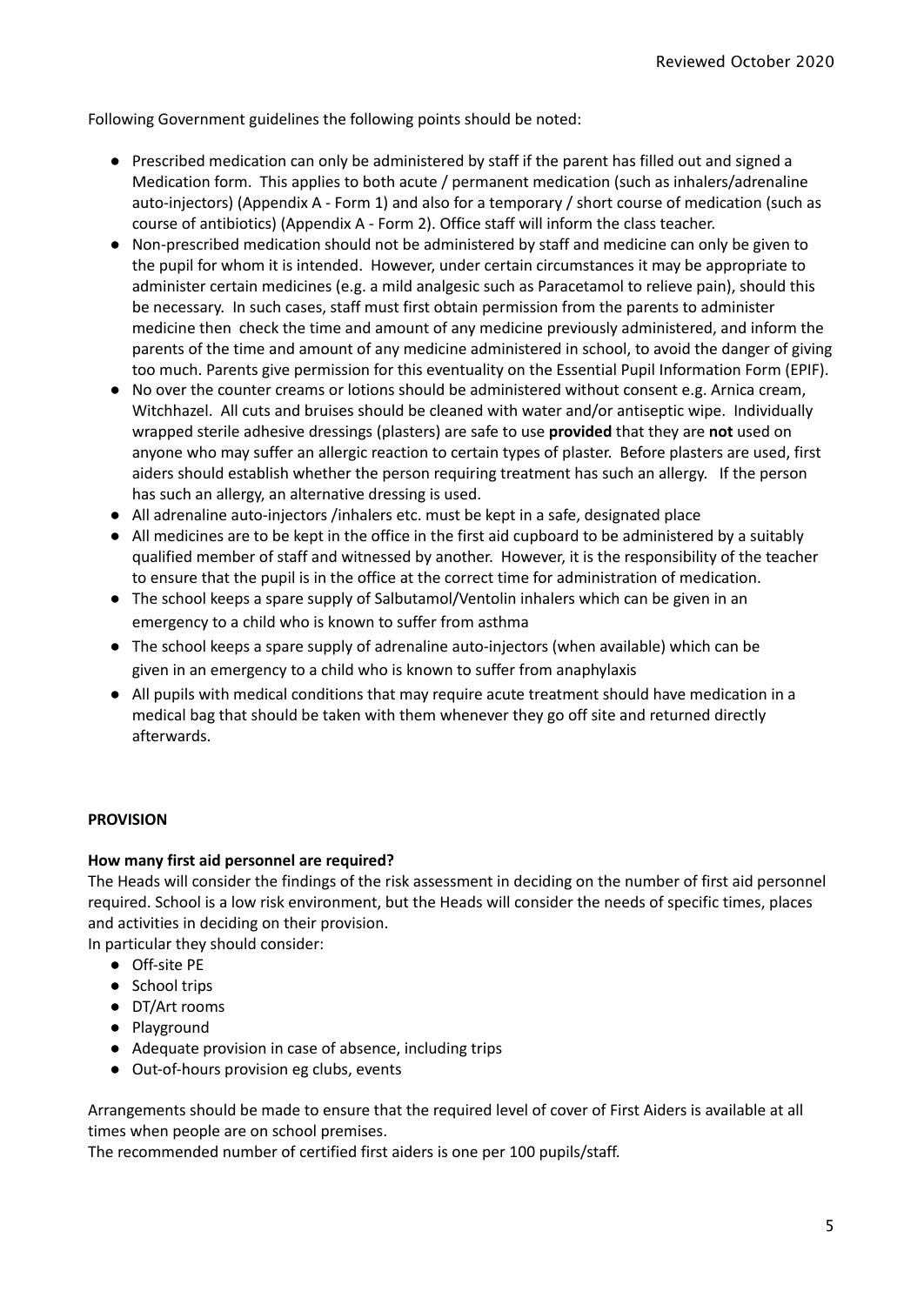Following Government guidelines the following points should be noted:

- Prescribed medication can only be administered by staff if the parent has filled out and signed a Medication form. This applies to both acute / permanent medication (such as inhalers/adrenaline auto-injectors) (Appendix A - Form 1) and also for a temporary / short course of medication (such as course of antibiotics) (Appendix A - Form 2). Office staff will inform the class teacher.
- Non-prescribed medication should not be administered by staff and medicine can only be given to the pupil for whom it is intended. However, under certain circumstances it may be appropriate to administer certain medicines (e.g. a mild analgesic such as Paracetamol to relieve pain), should this be necessary. In such cases, staff must first obtain permission from the parents to administer medicine then check the time and amount of any medicine previously administered, and inform the parents of the time and amount of any medicine administered in school, to avoid the danger of giving too much. Parents give permission for this eventuality on the Essential Pupil Information Form (EPIF).
- No over the counter creams or lotions should be administered without consent e.g. Arnica cream, Witchhazel. All cuts and bruises should be cleaned with water and/or antiseptic wipe. Individually wrapped sterile adhesive dressings (plasters) are safe to use **provided** that they are **not** used on anyone who may suffer an allergic reaction to certain types of plaster. Before plasters are used, first aiders should establish whether the person requiring treatment has such an allergy. If the person has such an allergy, an alternative dressing is used.
- All adrenaline auto-injectors /inhalers etc. must be kept in a safe, designated place
- All medicines are to be kept in the office in the first aid cupboard to be administered by a suitably qualified member of staff and witnessed by another. However, it is the responsibility of the teacher to ensure that the pupil is in the office at the correct time for administration of medication.
- The school keeps a spare supply of Salbutamol/Ventolin inhalers which can be given in an emergency to a child who is known to suffer from asthma
- The school keeps a spare supply of adrenaline auto-injectors (when available) which can be given in an emergency to a child who is known to suffer from anaphylaxis
- All pupils with medical conditions that may require acute treatment should have medication in a medical bag that should be taken with them whenever they go off site and returned directly afterwards.

#### **PROVISION**

#### **How many first aid personnel are required?**

The Heads will consider the findings of the risk assessment in deciding on the number of first aid personnel required. School is a low risk environment, but the Heads will consider the needs of specific times, places and activities in deciding on their provision.

In particular they should consider:

- Off-site PE
- School trips
- DT/Art rooms
- Playground
- Adequate provision in case of absence, including trips
- Out-of-hours provision eg clubs, events

Arrangements should be made to ensure that the required level of cover of First Aiders is available at all times when people are on school premises.

The recommended number of certified first aiders is one per 100 pupils/staff.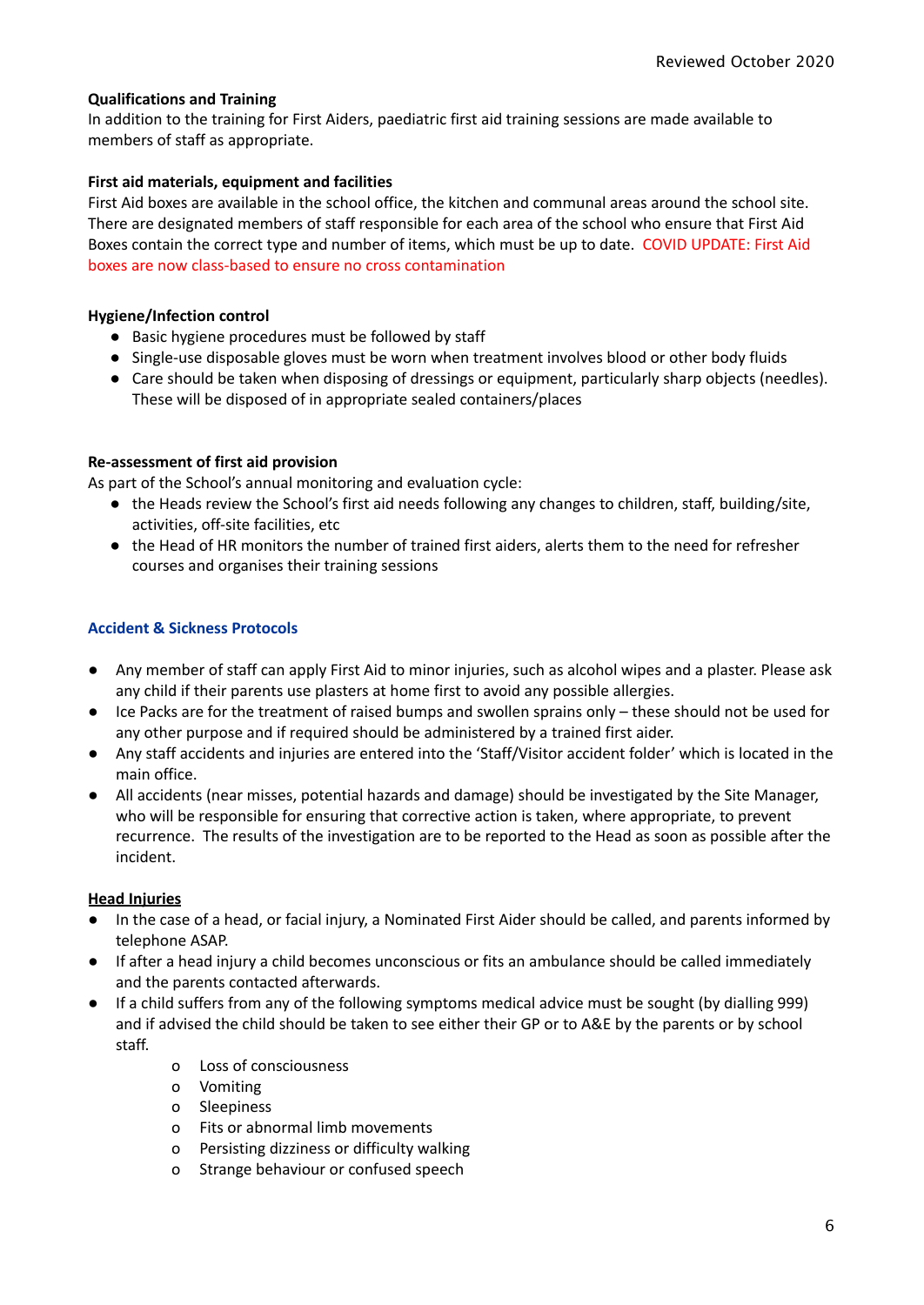#### **Qualifications and Training**

In addition to the training for First Aiders, paediatric first aid training sessions are made available to members of staff as appropriate.

#### **First aid materials, equipment and facilities**

First Aid boxes are available in the school office, the kitchen and communal areas around the school site. There are designated members of staff responsible for each area of the school who ensure that First Aid Boxes contain the correct type and number of items, which must be up to date. COVID UPDATE: First Aid boxes are now class-based to ensure no cross contamination

#### **Hygiene/Infection control**

- Basic hygiene procedures must be followed by staff
- Single-use disposable gloves must be worn when treatment involves blood or other body fluids
- Care should be taken when disposing of dressings or equipment, particularly sharp objects (needles). These will be disposed of in appropriate sealed containers/places

#### **Re-assessment of first aid provision**

As part of the School's annual monitoring and evaluation cycle:

- the Heads review the School's first aid needs following any changes to children, staff, building/site, activities, off-site facilities, etc
- the Head of HR monitors the number of trained first aiders, alerts them to the need for refresher courses and organises their training sessions

#### **Accident & Sickness Protocols**

- Any member of staff can apply First Aid to minor injuries, such as alcohol wipes and a plaster. Please ask any child if their parents use plasters at home first to avoid any possible allergies.
- Ice Packs are for the treatment of raised bumps and swollen sprains only these should not be used for any other purpose and if required should be administered by a trained first aider.
- Any staff accidents and injuries are entered into the 'Staff/Visitor accident folder' which is located in the main office.
- All accidents (near misses, potential hazards and damage) should be investigated by the Site Manager, who will be responsible for ensuring that corrective action is taken, where appropriate, to prevent recurrence. The results of the investigation are to be reported to the Head as soon as possible after the incident.

#### **Head Injuries**

- In the case of a head, or facial injury, a Nominated First Aider should be called, and parents informed by telephone ASAP.
- If after a head injury a child becomes unconscious or fits an ambulance should be called immediately and the parents contacted afterwards.
- If a child suffers from any of the following symptoms medical advice must be sought (by dialling 999) and if advised the child should be taken to see either their GP or to A&E by the parents or by school staff.
	- o Loss of consciousness
	- o Vomiting
	- o Sleepiness
	- o Fits or abnormal limb movements
	- o Persisting dizziness or difficulty walking
	- o Strange behaviour or confused speech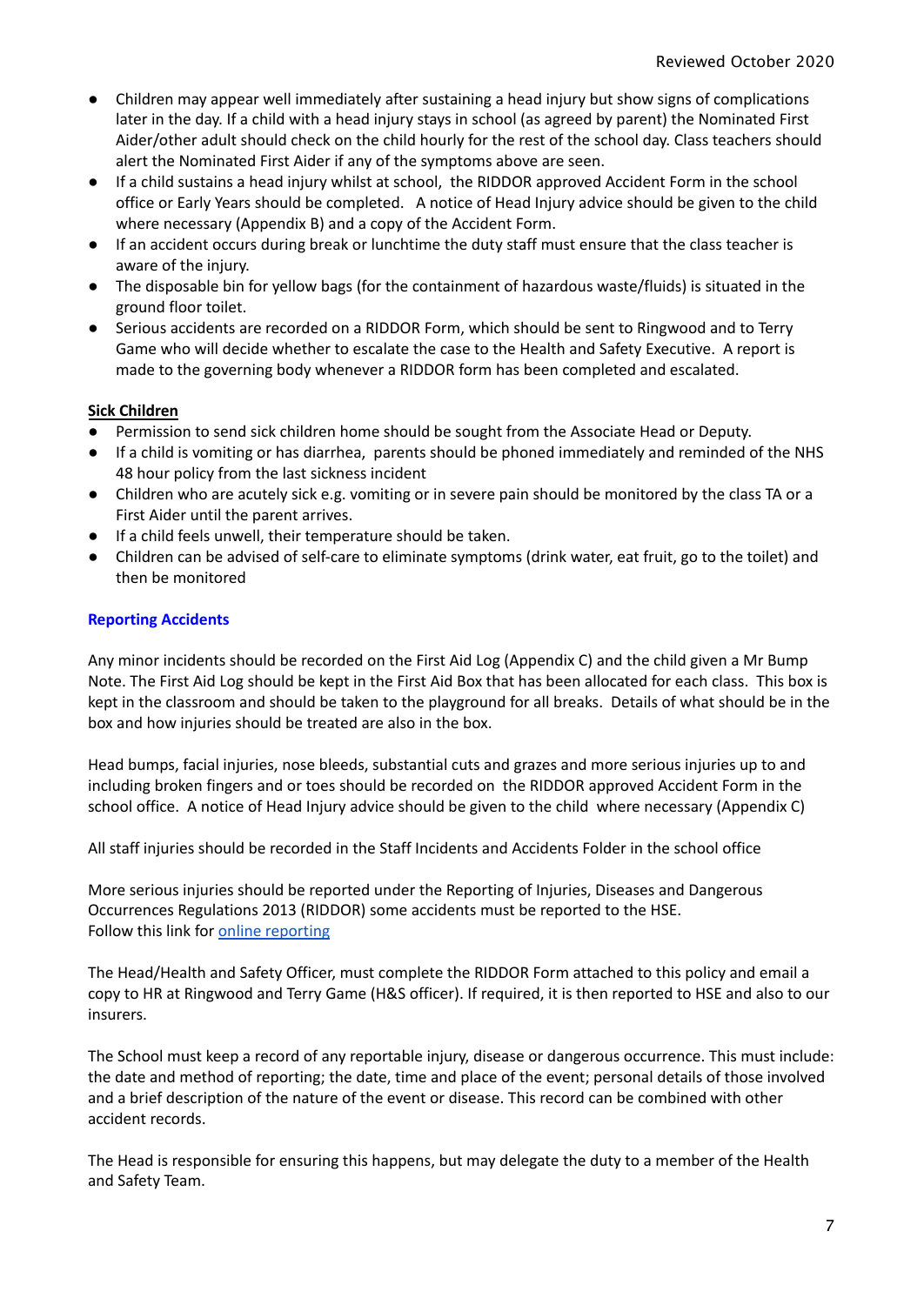- Children may appear well immediately after sustaining a head injury but show signs of complications later in the day. If a child with a head injury stays in school (as agreed by parent) the Nominated First Aider/other adult should check on the child hourly for the rest of the school day. Class teachers should alert the Nominated First Aider if any of the symptoms above are seen.
- If a child sustains a head injury whilst at school, the RIDDOR approved Accident Form in the school office or Early Years should be completed. A notice of Head Injury advice should be given to the child where necessary (Appendix B) and a copy of the Accident Form.
- If an accident occurs during break or lunchtime the duty staff must ensure that the class teacher is aware of the injury.
- The disposable bin for yellow bags (for the containment of hazardous waste/fluids) is situated in the ground floor toilet.
- Serious accidents are recorded on a RIDDOR Form, which should be sent to Ringwood and to Terry Game who will decide whether to escalate the case to the Health and Safety Executive. A report is made to the governing body whenever a RIDDOR form has been completed and escalated.

#### **Sick Children**

- Permission to send sick children home should be sought from the Associate Head or Deputy.
- If a child is vomiting or has diarrhea, parents should be phoned immediately and reminded of the NHS 48 hour policy from the last sickness incident
- Children who are acutely sick e.g. vomiting or in severe pain should be monitored by the class TA or a First Aider until the parent arrives.
- If a child feels unwell, their temperature should be taken.
- Children can be advised of self-care to eliminate symptoms (drink water, eat fruit, go to the toilet) and then be monitored

#### **Reporting Accidents**

Any minor incidents should be recorded on the First Aid Log (Appendix C) and the child given a Mr Bump Note. The First Aid Log should be kept in the First Aid Box that has been allocated for each class. This box is kept in the classroom and should be taken to the playground for all breaks. Details of what should be in the box and how injuries should be treated are also in the box.

Head bumps, facial injuries, nose bleeds, substantial cuts and grazes and more serious injuries up to and including broken fingers and or toes should be recorded on the RIDDOR approved Accident Form in the school office. A notice of Head Injury advice should be given to the child where necessary (Appendix C)

All staff injuries should be recorded in the Staff Incidents and Accidents Folder in the school office

More serious injuries should be reported under the Reporting of Injuries, Diseases and Dangerous Occurrences Regulations 2013 (RIDDOR) some accidents must be reported to the HSE. Follow this link for online [reporting](https://www.hse.gov.uk/riddor/report.htm)

The Head/Health and Safety Officer, must complete the RIDDOR Form attached to this policy and email a copy to HR at Ringwood and Terry Game (H&S officer). If required, it is then reported to HSE and also to our insurers.

The School must keep a record of any reportable injury, disease or dangerous occurrence. This must include: the date and method of reporting; the date, time and place of the event; personal details of those involved and a brief description of the nature of the event or disease. This record can be combined with other accident records.

The Head is responsible for ensuring this happens, but may delegate the duty to a member of the Health and Safety Team.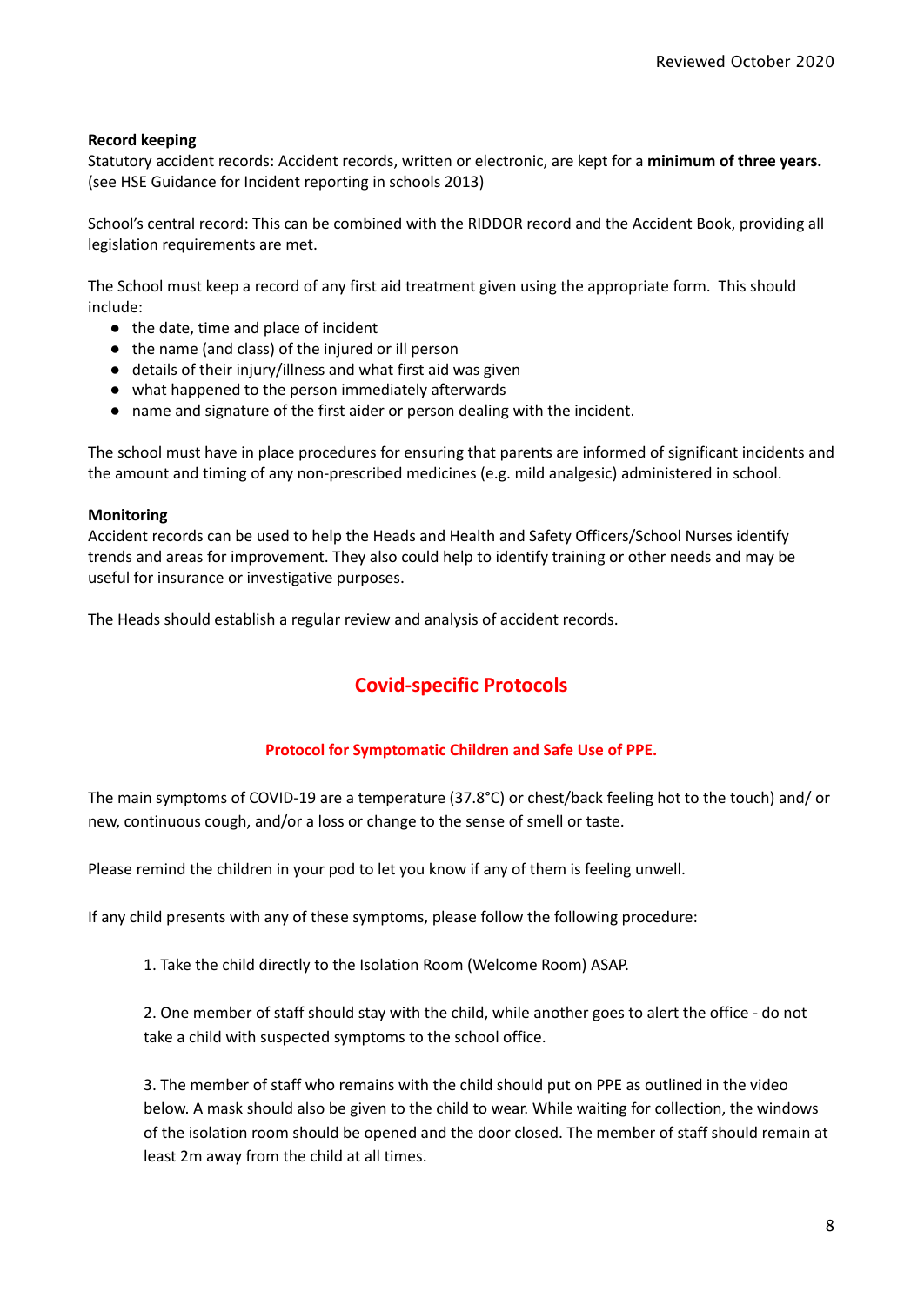#### **Record keeping**

Statutory accident records: Accident records, written or electronic, are kept for a **minimum of three years.** (see HSE Guidance for Incident reporting in schools 2013)

School's central record: This can be combined with the RIDDOR record and the Accident Book, providing all legislation requirements are met.

The School must keep a record of any first aid treatment given using the appropriate form. This should include:

- the date, time and place of incident
- the name (and class) of the injured or ill person
- details of their injury/illness and what first aid was given
- what happened to the person immediately afterwards
- name and signature of the first aider or person dealing with the incident.

The school must have in place procedures for ensuring that parents are informed of significant incidents and the amount and timing of any non-prescribed medicines (e.g. mild analgesic) administered in school.

#### **Monitoring**

Accident records can be used to help the Heads and Health and Safety Officers/School Nurses identify trends and areas for improvement. They also could help to identify training or other needs and may be useful for insurance or investigative purposes.

The Heads should establish a regular review and analysis of accident records.

### **Covid-specific Protocols**

#### **Protocol for Symptomatic Children and Safe Use of PPE.**

The main symptoms of COVID-19 are a temperature (37.8°C) or chest/back feeling hot to the touch) and/ or new, continuous cough, and/or a loss or change to the sense of smell or taste.

Please remind the children in your pod to let you know if any of them is feeling unwell.

If any child presents with any of these symptoms, please follow the following procedure:

1. Take the child directly to the Isolation Room (Welcome Room) ASAP.

2. One member of staff should stay with the child, while another goes to alert the office - do not take a child with suspected symptoms to the school office.

3. The member of staff who remains with the child should put on PPE as outlined in the video below. A mask should also be given to the child to wear. While waiting for collection, the windows of the isolation room should be opened and the door closed. The member of staff should remain at least 2m away from the child at all times.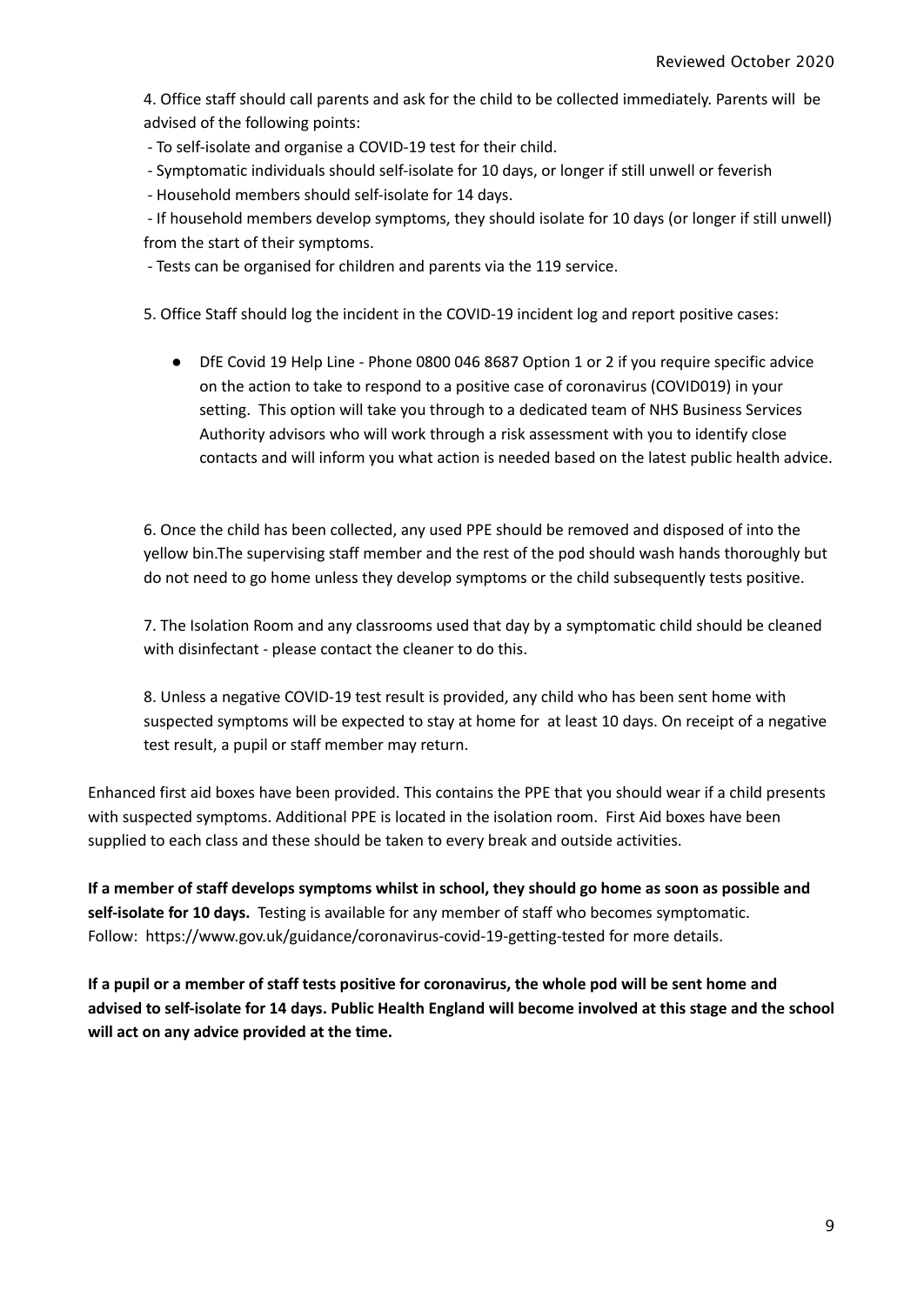4. Office staff should call parents and ask for the child to be collected immediately. Parents will be advised of the following points:

- To self-isolate and organise a COVID-19 test for their child.

- Symptomatic individuals should self-isolate for 10 days, or longer if still unwell or feverish

- Household members should self-isolate for 14 days.

- If household members develop symptoms, they should isolate for 10 days (or longer if still unwell) from the start of their symptoms.

- Tests can be organised for children and parents via the 119 service.

5. Office Staff should log the incident in the COVID-19 incident log and report positive cases:

● DfE Covid 19 Help Line - Phone 0800 046 8687 Option 1 or 2 if you require specific advice on the action to take to respond to a positive case of coronavirus (COVID019) in your setting. This option will take you through to a dedicated team of NHS Business Services Authority advisors who will work through a risk assessment with you to identify close contacts and will inform you what action is needed based on the latest public health advice.

6. Once the child has been collected, any used PPE should be removed and disposed of into the yellow bin.The supervising staff member and the rest of the pod should wash hands thoroughly but do not need to go home unless they develop symptoms or the child subsequently tests positive.

7. The Isolation Room and any classrooms used that day by a symptomatic child should be cleaned with disinfectant - please contact the cleaner to do this.

8. Unless a negative COVID-19 test result is provided, any child who has been sent home with suspected symptoms will be expected to stay at home for at least 10 days. On receipt of a negative test result, a pupil or staff member may return.

Enhanced first aid boxes have been provided. This contains the PPE that you should wear if a child presents with suspected symptoms. Additional PPE is located in the isolation room. First Aid boxes have been supplied to each class and these should be taken to every break and outside activities.

If a member of staff develops symptoms whilst in school, they should go home as soon as possible and **self-isolate for 10 days.** Testing is available for any member of staff who becomes symptomatic. Follow: https://www.gov.uk/guidance/coronavirus-covid-19-getting-tested for more details.

If a pupil or a member of staff tests positive for coronavirus, the whole pod will be sent home and advised to self-isolate for 14 days. Public Health England will become involved at this stage and the school **will act on any advice provided at the time.**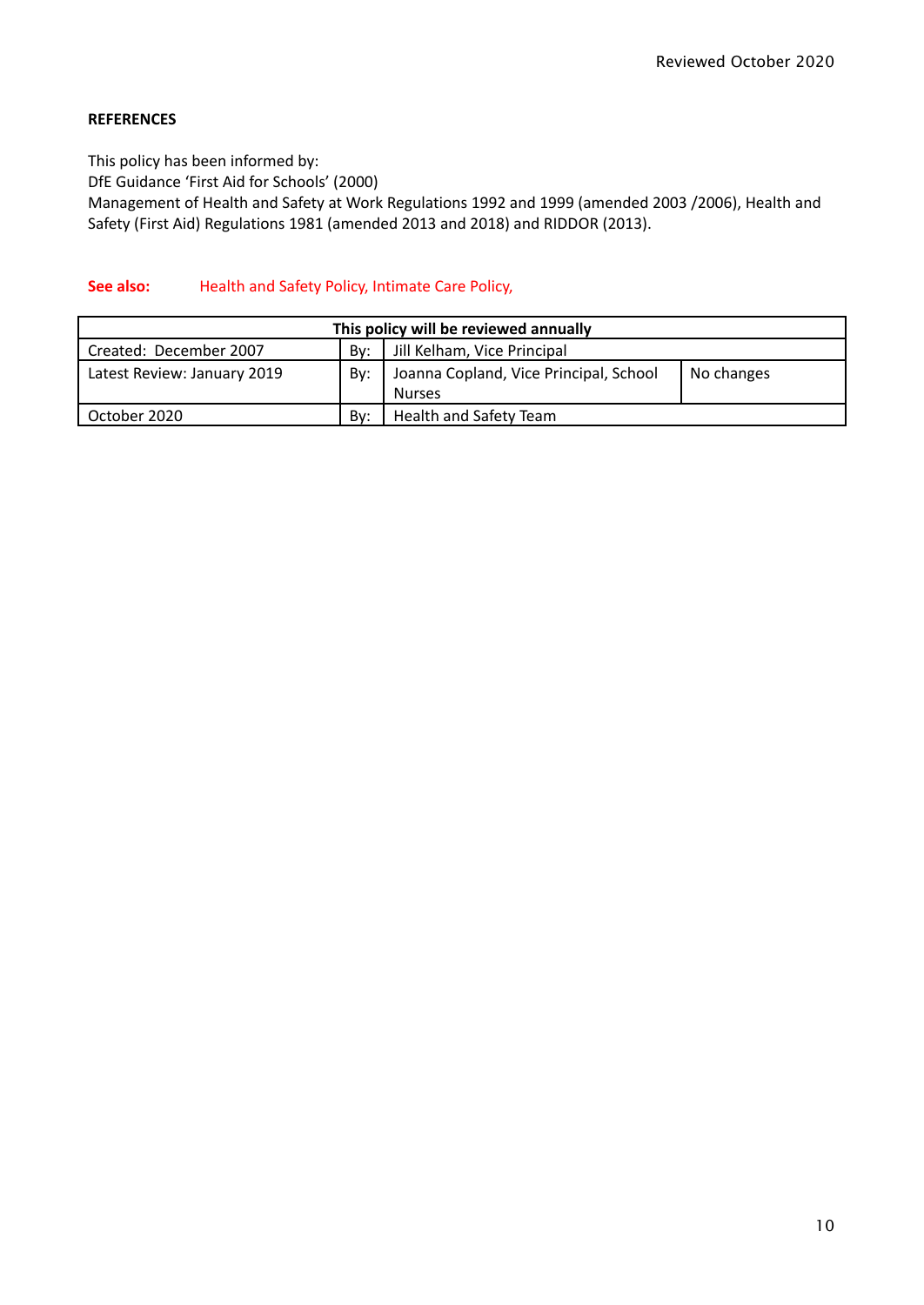### **REFERENCES**

This policy has been informed by: DfE Guidance 'First Aid for Schools' (2000) Management of Health and Safety at Work Regulations 1992 and 1999 (amended 2003 /2006), Health and Safety (First Aid) Regulations 1981 (amended 2013 and 2018) and RIDDOR (2013).

#### **See also:** Health and Safety Policy, Intimate Care Policy,

| This policy will be reviewed annually |     |                                        |            |  |
|---------------------------------------|-----|----------------------------------------|------------|--|
| Created: December 2007                | Bv: | Jill Kelham, Vice Principal            |            |  |
| Latest Review: January 2019           | Bv: | Joanna Copland, Vice Principal, School | No changes |  |
|                                       |     | <b>Nurses</b>                          |            |  |
| October 2020                          | Bv: | <b>Health and Safety Team</b>          |            |  |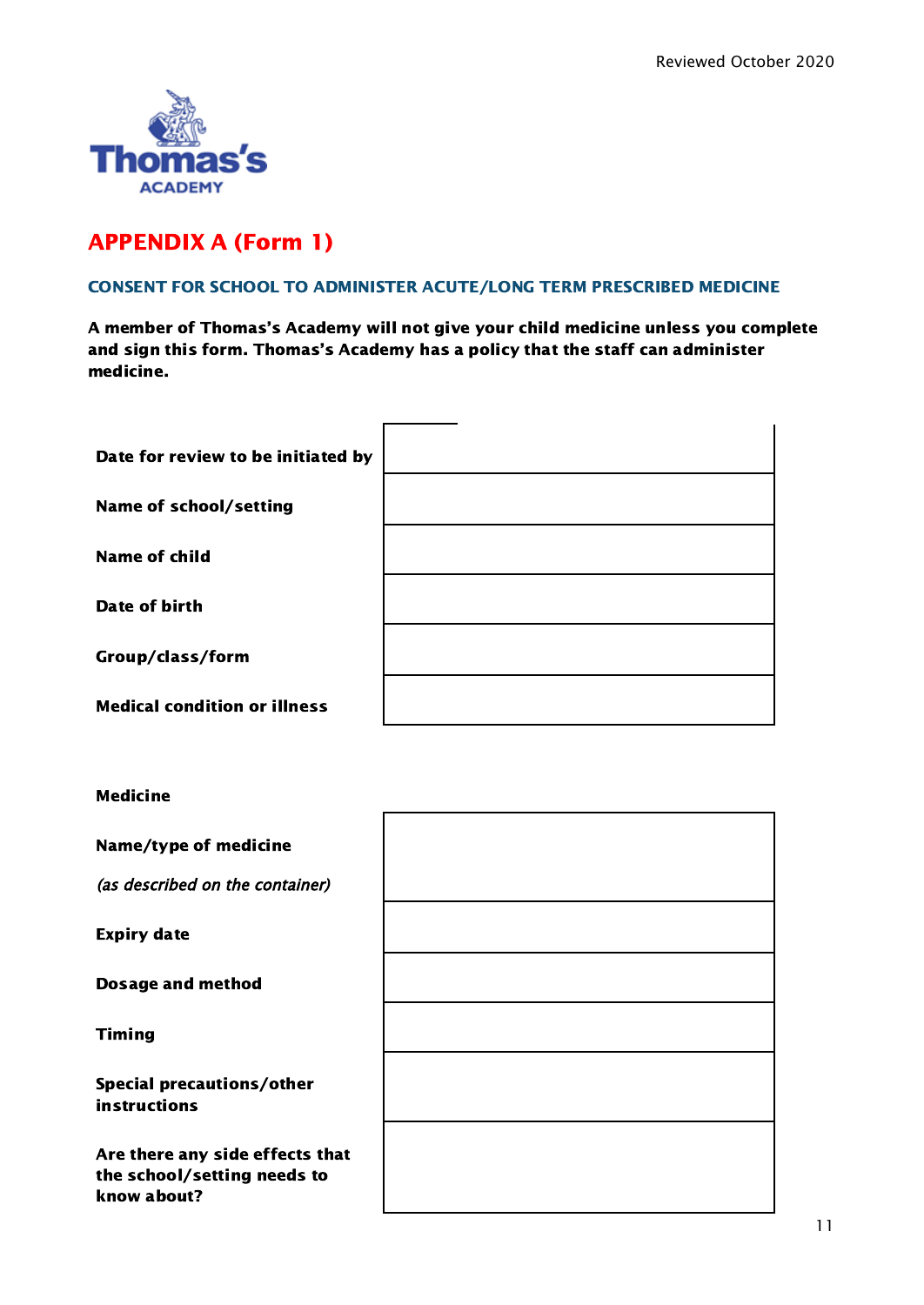

### APPENDIX A (Form 1)

#### CONSENT FOR SCHOOL TO ADMINISTER ACUTE/LONG TERM PRESCRIBED MEDICINE

A member of Thomas's Academy will not give your child medicine unless you complete and sign this form. Thomas's Academy has a policy that the staff can administer medicine.

| Date for review to be initiated by  |  |
|-------------------------------------|--|
|                                     |  |
| <b>Name of school/setting</b>       |  |
|                                     |  |
| <b>Name of child</b>                |  |
| Date of birth                       |  |
|                                     |  |
| Group/class/form                    |  |
|                                     |  |
| <b>Medical condition or illness</b> |  |

### Medicine

Name/type of medicine

(as described on the container)

Expiry date

Dosage and method

Timing

Special precautions/other instructions

Are there any side effects that the school/setting needs to know about?

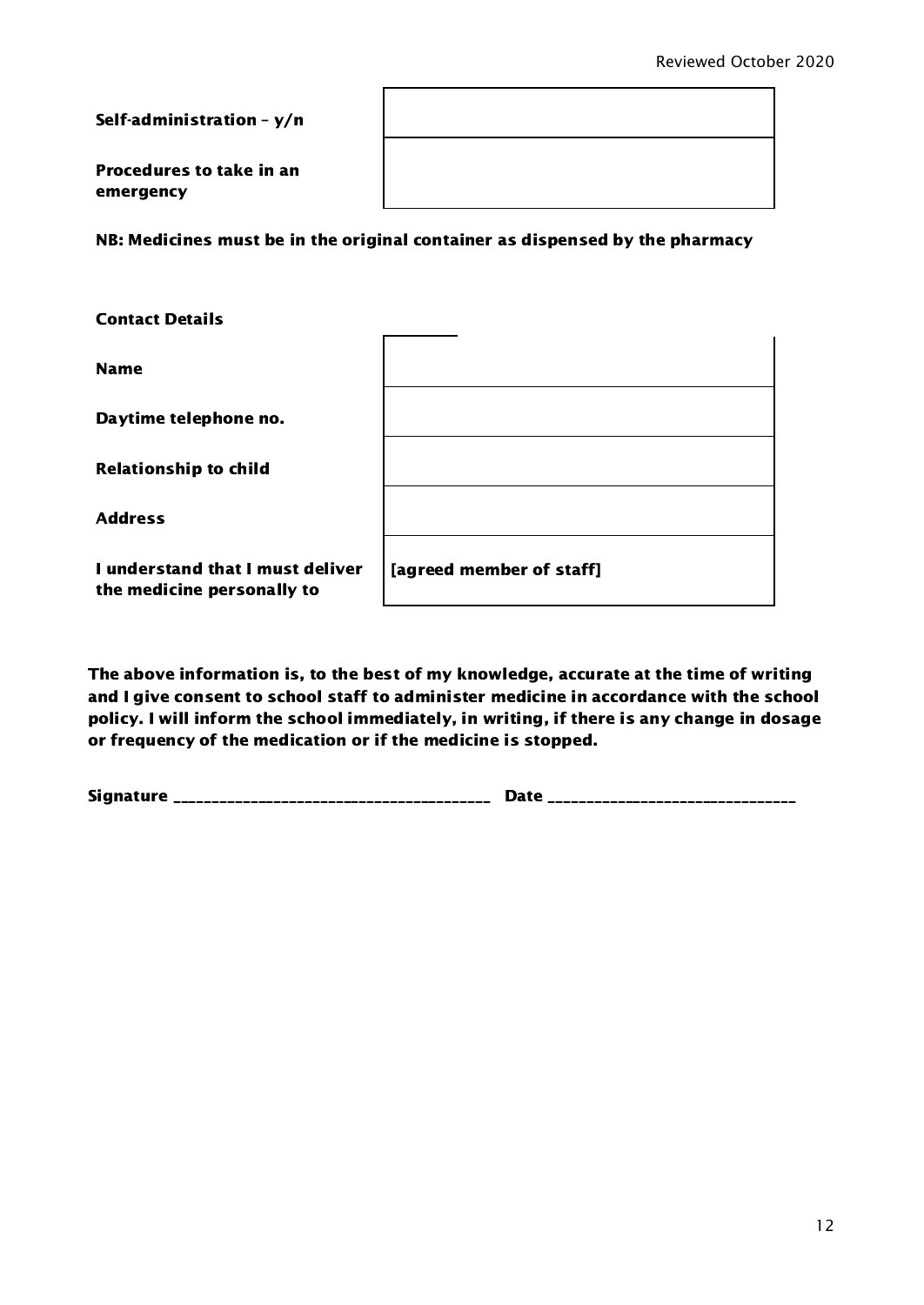Self-administration – y/n

Procedures to take in an emergency

NB: Medicines must be in the original container as dispensed by the pharmacy

| <b>Contact Details</b>                                         |                          |
|----------------------------------------------------------------|--------------------------|
| <b>Name</b>                                                    |                          |
| Daytime telephone no.                                          |                          |
| <b>Relationship to child</b>                                   |                          |
| <b>Address</b>                                                 |                          |
| I understand that I must deliver<br>the medicine personally to | [agreed member of staff] |

The above information is, to the best of my knowledge, accurate at the time of writing and I give consent to school staff to administer medicine in accordance with the school policy. I will inform the school immediately, in writing, if there is any change in dosage or frequency of the medication or if the medicine is stopped.

Signature \_\_\_\_\_\_\_\_\_\_\_\_\_\_\_\_\_\_\_\_\_\_\_\_\_\_\_\_\_\_\_\_\_\_\_\_\_\_\_\_\_ Date \_\_\_\_\_\_\_\_\_\_\_\_\_\_\_\_\_\_\_\_\_\_\_\_\_\_\_\_\_\_\_\_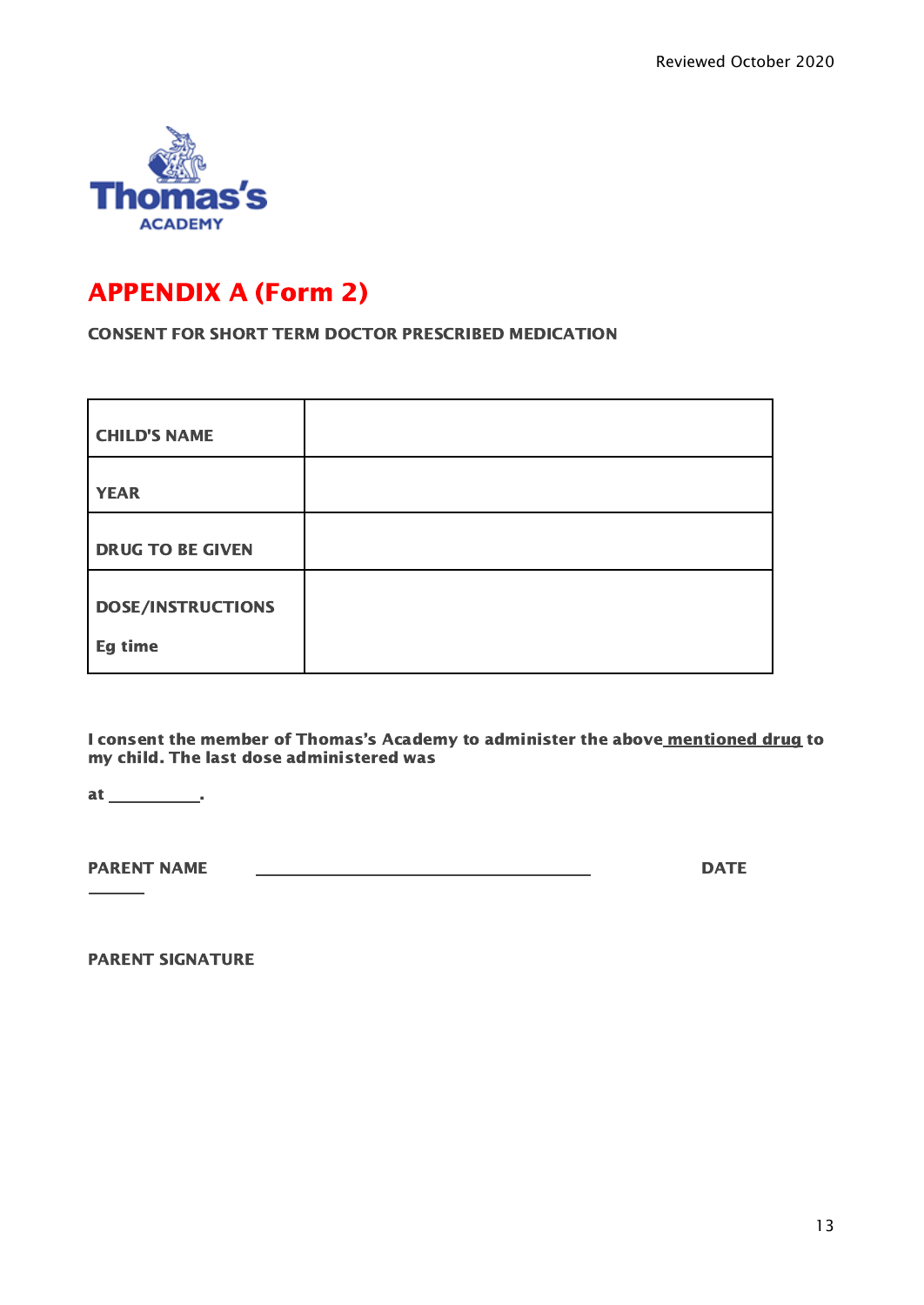

### APPENDIX A (Form 2)

CONSENT FOR SHORT TERM DOCTOR PRESCRIBED MEDICATION

| <b>CHILD'S NAME</b>      |  |
|--------------------------|--|
| <b>YEAR</b>              |  |
| <b>DRUG TO BE GIVEN</b>  |  |
| <b>DOSE/INSTRUCTIONS</b> |  |
| Eg time                  |  |

I consent the member of Thomas's Academy to administer the above mentioned drug to my child. The last dose administered was

at \_\_\_\_\_\_\_\_\_\_\_\_\_.

 $\overline{\phantom{a}}$ 

PARENT NAME DATE

PARENT SIGNATURE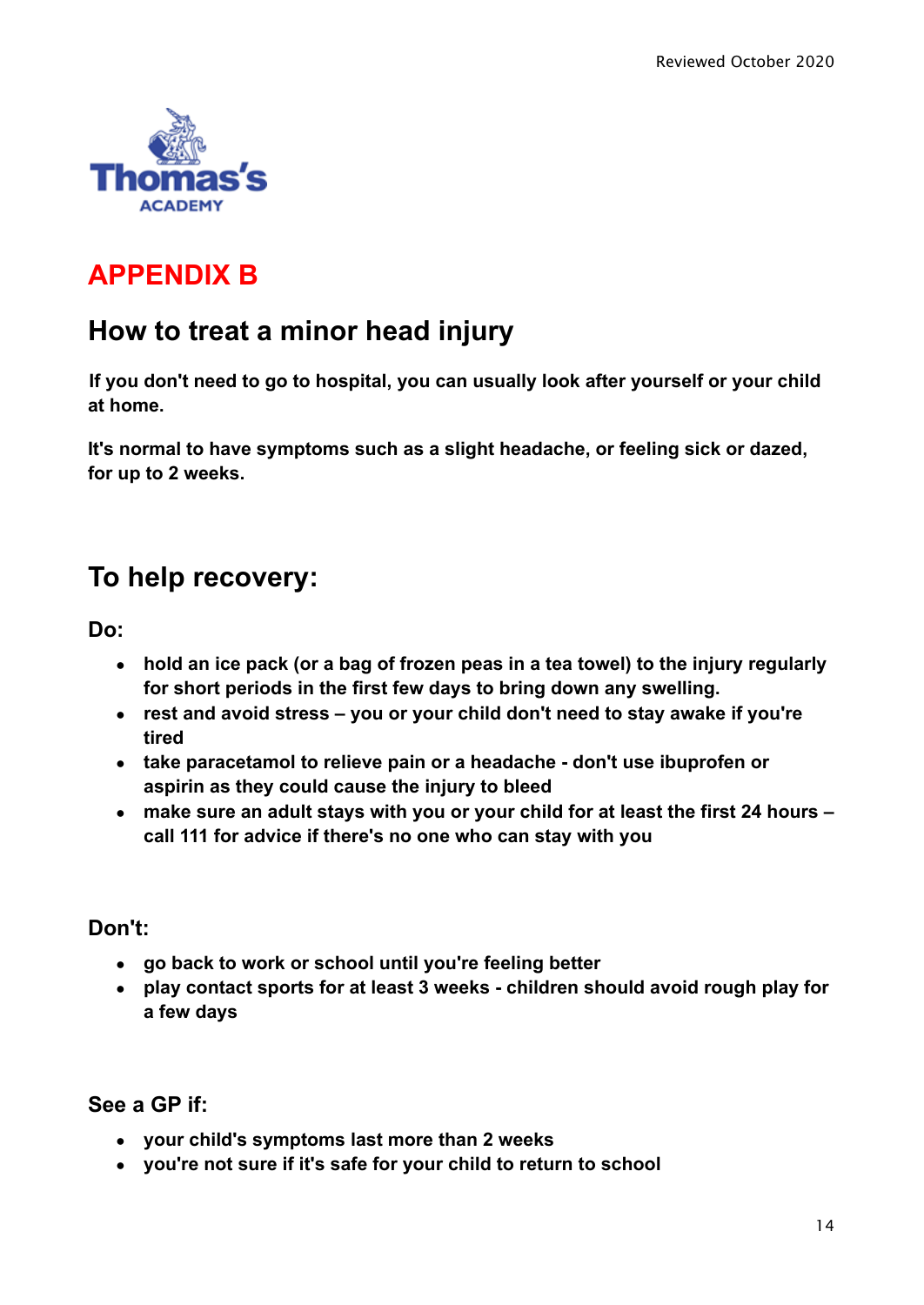

# **APPENDIX B**

# **How to treat a minor head injury**

**If you don't need to go to hospital, you can usually look after yourself or your child at home.**

**It's normal to have symptoms such as a slight headache, or feeling sick or dazed, for up to 2 weeks.**

# **To help recovery:**

**Do:**

- **● hold an ice pack (or a bag of frozen peas in a tea towel) to the injury regularly for short periods in the first few days to bring down any swelling.**
- **● rest and avoid stress you or your child don't need to stay awake if you're tired**
- **● take paracetamol to relieve pain or a headache don't use ibuprofen or aspirin as they could cause the injury to bleed**
- **● make sure an adult stays with you or your child for at least the first 24 hours – call 111 for advice if there's no one who can stay with you**

### **Don't:**

- **● go back to work or school until you're feeling better**
- **● play contact sports for at least 3 weeks children should avoid rough play for a few days**

### **See a GP if:**

- **● your child's symptoms last more than 2 weeks**
- **● you're not sure if it's safe for your child to return to school**